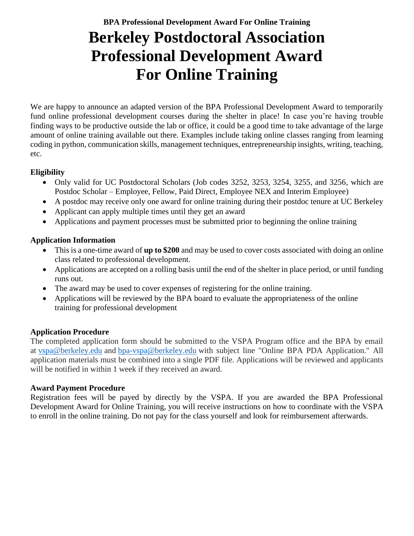# **Berkeley Postdoctoral Association Professional Development Award For Online Training**

We are happy to announce an adapted version of the BPA Professional Development Award to temporarily fund online professional development courses during the shelter in place! In case you're having trouble finding ways to be productive outside the lab or office, it could be a good time to take advantage of the large amount of online training available out there. Examples include taking online classes ranging from learning coding in python, communication skills, management techniques, entrepreneurship insights, writing, teaching, etc.

#### **Eligibility**

- Only valid for UC Postdoctoral Scholars (Job codes 3252, 3253, 3254, 3255, and 3256, which are Postdoc Scholar – Employee, Fellow, Paid Direct, Employee NEX and Interim Employee)
- A postdoc may receive only one award for online training during their postdoc tenure at UC Berkeley
- Applicant can apply multiple times until they get an award
- Applications and payment processes must be submitted prior to beginning the online training

## **Application Information**

- This is a one-time award of **up to \$200** and may be used to cover costs associated with doing an online class related to professional development.
- Applications are accepted on a rolling basis until the end of the shelter in place period, or until funding runs out.
- The award may be used to cover expenses of registering for the online training.
- Applications will be reviewed by the BPA board to evaluate the appropriateness of the online training for professional development

## **Application Procedure**

The completed application form should be submitted to the VSPA Program office and the BPA by email at [vspa@berkeley.edu](mailto:vspa@berkeley.edu) and [bpa-vspa@berkeley.edu](mailto:bpa-vspa@berkeley.edu) with subject line "Online BPA PDA Application." All application materials must be combined into a single PDF file. Applications will be reviewed and applicants will be notified in within 1 week if they received an award.

## **Award Payment Procedure**

Registration fees will be payed by directly by the VSPA. If you are awarded the BPA Professional Development Award for Online Training, you will receive instructions on how to coordinate with the VSPA to enroll in the online training. Do not pay for the class yourself and look for reimbursement afterwards.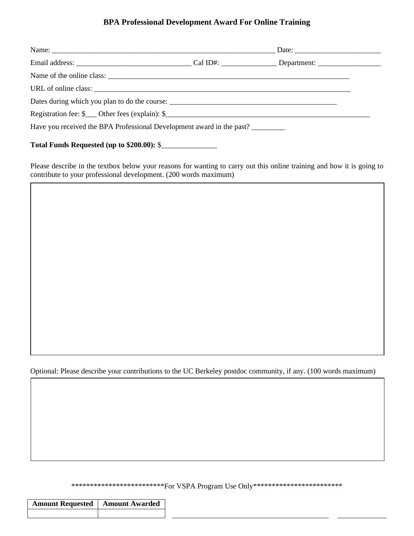#### **BPA Professional Development Award For Online Training**

| Name of the online class:                                                                                                                                                 |  |
|---------------------------------------------------------------------------------------------------------------------------------------------------------------------------|--|
|                                                                                                                                                                           |  |
|                                                                                                                                                                           |  |
| Registration fee: $\mathcal{S}_{\text{max}}$ Other fees (explain): $\mathcal{S}_{\text{max}}$ (explain): $\mathcal{S}_{\text{max}}$ (explain): $\mathcal{S}_{\text{max}}$ |  |
| Have you received the BPA Professional Development award in the past?                                                                                                     |  |
| Total Funds Requested (up to \$200.00): \$                                                                                                                                |  |

Please describe in the textbox below your reasons for wanting to carry out this online training and how it is going to contribute to your professional development. (200 words maximum)

Optional: Please describe your contributions to the UC Berkeley postdoc community, if any. (100 words maximum)

\*\*\*\*\*\*\*\*\*\*\*\*\*\*\*\*\*\*\*\*\*\*\*\*\*\*\*\*For VSPA Program Use Only\*\*\*\*\*\*\*\*\*\*\*\*\*\*\*\*\*\*\*\*\*\*\*\*\*\*\*

| <b>Amount Requested   Amount Awarded</b> |  |
|------------------------------------------|--|
|                                          |  |